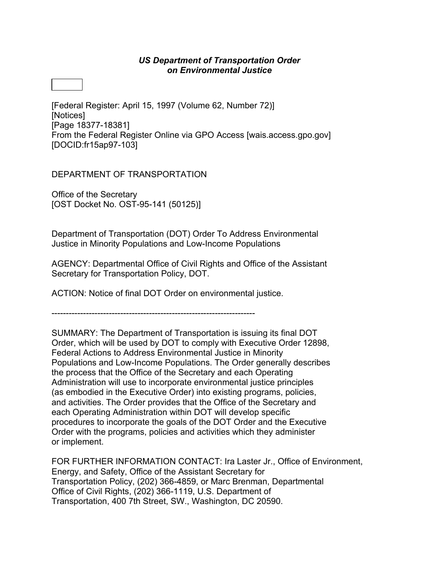## *US Department of Transportation Order on Environmental Justice*

[Federal Register: April 15, 1997 (Volume 62, Number 72)] [Notices] [Page 18377-18381] From the Federal Register Online via GPO Access [\[wais.access.gpo.gov\]](http://wais.access.gpo.gov) [DOCID:fr15ap97-103]

DEPARTMENT OF TRANSPORTATION

Office of the Secretary [OST Docket No. OST-95-141 (50125)]

Department of Transportation (DOT) Order To Address Environmental Justice in Minority Populations and Low-Income Populations

AGENCY: Departmental Office of Civil Rights and Office of the Assistant Secretary for Transportation Policy, DOT.

ACTION: Notice of final DOT Order on environmental justice.

-----------------------------------------------------------------------

SUMMARY: The Department of Transportation is issuing its final DOT Order, which will be used by DOT to comply with Executive Order 12898, Federal Actions to Address Environmental Justice in Minority Populations and Low-Income Populations. The Order generally describes the process that the Office of the Secretary and each Operating Administration will use to incorporate environmental justice principles (as embodied in the Executive Order) into existing programs, policies, and activities. The Order provides that the Office of the Secretary and each Operating Administration within DOT will develop specific procedures to incorporate the goals of the DOT Order and the Executive Order with the programs, policies and activities which they administer or implement.

FOR FURTHER INFORMATION CONTACT: Ira Laster Jr., Office of Environment, Energy, and Safety, Office of the Assistant Secretary for Transportation Policy, (202) 366-4859, or Marc Brenman, Departmental Office of Civil Rights, (202) 366-1119, U.S. Department of Transportation, 400 7th Street, SW., Washington, DC 20590.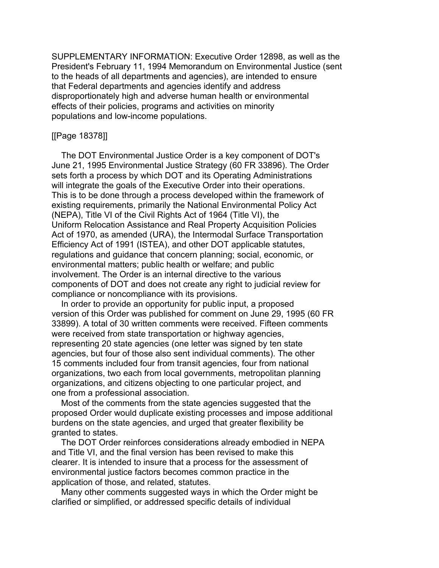SUPPLEMENTARY INFORMATION: Executive Order 12898, as well as the President's February 11, 1994 Memorandum on Environmental Justice (sent to the heads of all departments and agencies), are intended to ensure that Federal departments and agencies identify and address disproportionately high and adverse human health or environmental effects of their policies, programs and activities on minority populations and low-income populations.

#### [[Page 18378]]

 The DOT Environmental Justice Order is a key component of DOT's June 21, 1995 Environmental Justice Strategy (60 FR 33896). The Order sets forth a process by which DOT and its Operating Administrations will integrate the goals of the Executive Order into their operations. This is to be done through a process developed within the framework of existing requirements, primarily the National Environmental Policy Act (NEPA), Title VI of the Civil Rights Act of 1964 (Title VI), the Uniform Relocation Assistance and Real Property Acquisition Policies Act of 1970, as amended (URA), the Intermodal Surface Transportation Efficiency Act of 1991 (ISTEA), and other DOT applicable statutes, regulations and guidance that concern planning; social, economic, or environmental matters; public health or welfare; and public involvement. The Order is an internal directive to the various components of DOT and does not create any right to judicial review for compliance or noncompliance with its provisions.

 In order to provide an opportunity for public input, a proposed version of this Order was published for comment on June 29, 1995 (60 FR 33899). A total of 30 written comments were received. Fifteen comments were received from state transportation or highway agencies, representing 20 state agencies (one letter was signed by ten state agencies, but four of those also sent individual comments). The other 15 comments included four from transit agencies, four from national organizations, two each from local governments, metropolitan planning organizations, and citizens objecting to one particular project, and one from a professional association.

 Most of the comments from the state agencies suggested that the proposed Order would duplicate existing processes and impose additional burdens on the state agencies, and urged that greater flexibility be granted to states.

 The DOT Order reinforces considerations already embodied in NEPA and Title VI, and the final version has been revised to make this clearer. It is intended to insure that a process for the assessment of environmental justice factors becomes common practice in the application of those, and related, statutes.

 Many other comments suggested ways in which the Order might be clarified or simplified, or addressed specific details of individual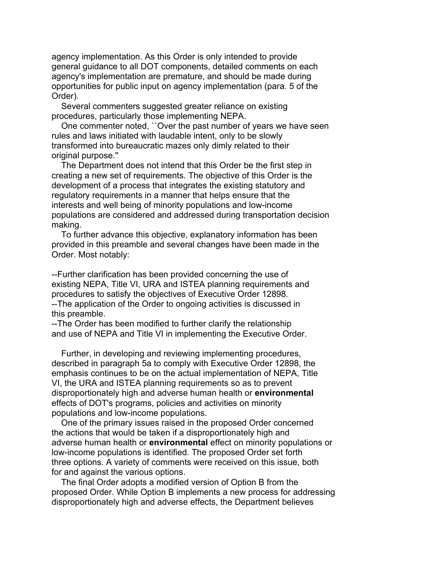agency implementation. As this Order is only intended to provide general guidance to all DOT components, detailed comments on each agency's implementation are premature, and should be made during opportunities for public input on agency implementation (para. 5 of the Order).

 Several commenters suggested greater reliance on existing procedures, particularly those implementing NEPA.

 One commenter noted, ``Over the past number of years we have seen rules and laws initiated with laudable intent, only to be slowly transformed into bureaucratic mazes only dimly related to their original purpose.''

 The Department does not intend that this Order be the first step in creating a new set of requirements. The objective of this Order is the development of a process that integrates the existing statutory and regulatory requirements in a manner that helps ensure that the interests and well being of minority populations and low-income populations are considered and addressed during transportation decision making.

 To further advance this objective, explanatory information has been provided in this preamble and several changes have been made in the Order. Most notably:

--Further clarification has been provided concerning the use of existing NEPA, Title VI, URA and ISTEA planning requirements and procedures to satisfy the objectives of Executive Order 12898. --The application of the Order to ongoing activities is discussed in this preamble.

--The Order has been modified to further clarify the relationship and use of NEPA and Title VI in implementing the Executive Order.

 Further, in developing and reviewing implementing procedures, described in paragraph 5a to comply with Executive Order 12898, the emphasis continues to be on the actual implementation of NEPA, Title VI, the URA and ISTEA planning requirements so as to prevent disproportionately high and adverse human health or **environmental** effects of DOT's programs, policies and activities on minority populations and low-income populations.

 One of the primary issues raised in the proposed Order concerned the actions that would be taken if a disproportionately high and adverse human health or **environmental** effect on minority populations or low-income populations is identified. The proposed Order set forth three options. A variety of comments were received on this issue, both for and against the various options.

 The final Order adopts a modified version of Option B from the proposed Order. While Option B implements a new process for addressing disproportionately high and adverse effects, the Department believes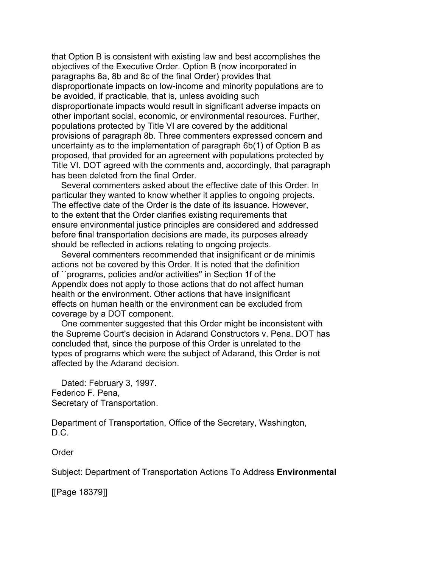that Option B is consistent with existing law and best accomplishes the objectives of the Executive Order. Option B (now incorporated in paragraphs 8a, 8b and 8c of the final Order) provides that disproportionate impacts on low-income and minority populations are to be avoided, if practicable, that is, unless avoiding such disproportionate impacts would result in significant adverse impacts on other important social, economic, or environmental resources. Further, populations protected by Title VI are covered by the additional provisions of paragraph 8b. Three commenters expressed concern and uncertainty as to the implementation of paragraph 6b(1) of Option B as proposed, that provided for an agreement with populations protected by Title VI. DOT agreed with the comments and, accordingly, that paragraph has been deleted from the final Order.

 Several commenters asked about the effective date of this Order. In particular they wanted to know whether it applies to ongoing projects. The effective date of the Order is the date of its issuance. However, to the extent that the Order clarifies existing requirements that ensure environmental justice principles are considered and addressed before final transportation decisions are made, its purposes already should be reflected in actions relating to ongoing projects.

 Several commenters recommended that insignificant or de minimis actions not be covered by this Order. It is noted that the definition of ``programs, policies and/or activities'' in Section 1f of the Appendix does not apply to those actions that do not affect human health or the environment. Other actions that have insignificant effects on human health or the environment can be excluded from coverage by a DOT component.

 One commenter suggested that this Order might be inconsistent with the Supreme Court's decision in Adarand Constructors v. Pena. DOT has concluded that, since the purpose of this Order is unrelated to the types of programs which were the subject of Adarand, this Order is not affected by the Adarand decision.

 Dated: February 3, 1997. Federico F. Pena, Secretary of Transportation.

Department of Transportation, Office of the Secretary, Washington, D.C.

Order

Subject: Department of Transportation Actions To Address **Environmental**

[[Page 18379]]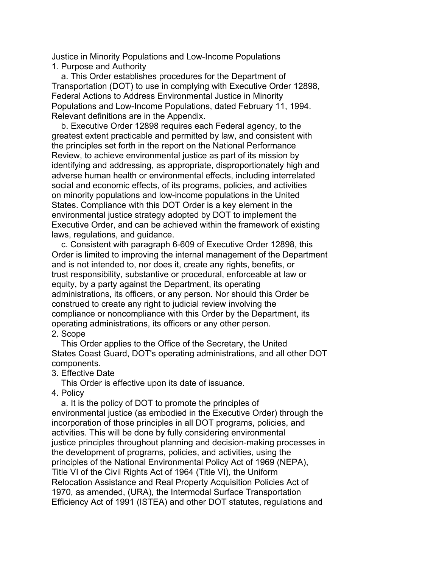Justice in Minority Populations and Low-Income Populations 1. Purpose and Authority

 a. This Order establishes procedures for the Department of Transportation (DOT) to use in complying with Executive Order 12898, Federal Actions to Address Environmental Justice in Minority Populations and Low-Income Populations, dated February 11, 1994. Relevant definitions are in the Appendix.

 b. Executive Order 12898 requires each Federal agency, to the greatest extent practicable and permitted by law, and consistent with the principles set forth in the report on the National Performance Review, to achieve environmental justice as part of its mission by identifying and addressing, as appropriate, disproportionately high and adverse human health or environmental effects, including interrelated social and economic effects, of its programs, policies, and activities on minority populations and low-income populations in the United States. Compliance with this DOT Order is a key element in the environmental justice strategy adopted by DOT to implement the Executive Order, and can be achieved within the framework of existing laws, regulations, and guidance.

 c. Consistent with paragraph 6-609 of Executive Order 12898, this Order is limited to improving the internal management of the Department and is not intended to, nor does it, create any rights, benefits, or trust responsibility, substantive or procedural, enforceable at law or equity, by a party against the Department, its operating administrations, its officers, or any person. Nor should this Order be construed to create any right to judicial review involving the compliance or noncompliance with this Order by the Department, its operating administrations, its officers or any other person. 2. Scope

# This Order applies to the Office of the Secretary, the United States Coast Guard, DOT's operating administrations, and all other DOT components.

### 3. Effective Date

This Order is effective upon its date of issuance.

4. Policy

 a. It is the policy of DOT to promote the principles of environmental justice (as embodied in the Executive Order) through the incorporation of those principles in all DOT programs, policies, and activities. This will be done by fully considering environmental justice principles throughout planning and decision-making processes in the development of programs, policies, and activities, using the principles of the National Environmental Policy Act of 1969 (NEPA), Title VI of the Civil Rights Act of 1964 (Title VI), the Uniform Relocation Assistance and Real Property Acquisition Policies Act of 1970, as amended, (URA), the Intermodal Surface Transportation Efficiency Act of 1991 (ISTEA) and other DOT statutes, regulations and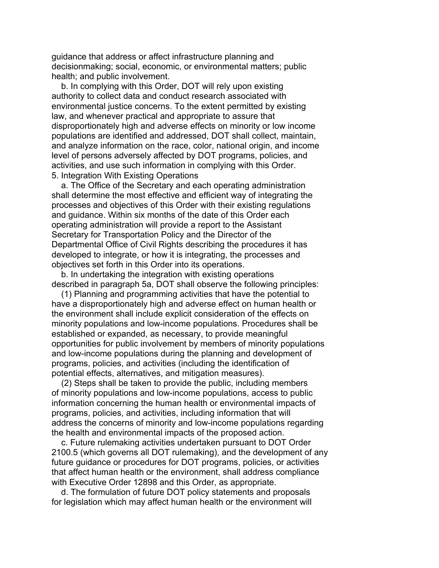guidance that address or affect infrastructure planning and decisionmaking; social, economic, or environmental matters; public health; and public involvement.

 b. In complying with this Order, DOT will rely upon existing authority to collect data and conduct research associated with environmental justice concerns. To the extent permitted by existing law, and whenever practical and appropriate to assure that disproportionately high and adverse effects on minority or low income populations are identified and addressed, DOT shall collect, maintain, and analyze information on the race, color, national origin, and income level of persons adversely affected by DOT programs, policies, and activities, and use such information in complying with this Order. 5. Integration With Existing Operations

 a. The Office of the Secretary and each operating administration shall determine the most effective and efficient way of integrating the processes and objectives of this Order with their existing regulations and guidance. Within six months of the date of this Order each operating administration will provide a report to the Assistant Secretary for Transportation Policy and the Director of the Departmental Office of Civil Rights describing the procedures it has developed to integrate, or how it is integrating, the processes and objectives set forth in this Order into its operations.

 b. In undertaking the integration with existing operations described in paragraph 5a, DOT shall observe the following principles:

 (1) Planning and programming activities that have the potential to have a disproportionately high and adverse effect on human health or the environment shall include explicit consideration of the effects on minority populations and low-income populations. Procedures shall be established or expanded, as necessary, to provide meaningful opportunities for public involvement by members of minority populations and low-income populations during the planning and development of programs, policies, and activities (including the identification of potential effects, alternatives, and mitigation measures).

 (2) Steps shall be taken to provide the public, including members of minority populations and low-income populations, access to public information concerning the human health or environmental impacts of programs, policies, and activities, including information that will address the concerns of minority and low-income populations regarding the health and environmental impacts of the proposed action.

 c. Future rulemaking activities undertaken pursuant to DOT Order 2100.5 (which governs all DOT rulemaking), and the development of any future guidance or procedures for DOT programs, policies, or activities that affect human health or the environment, shall address compliance with Executive Order 12898 and this Order, as appropriate.

 d. The formulation of future DOT policy statements and proposals for legislation which may affect human health or the environment will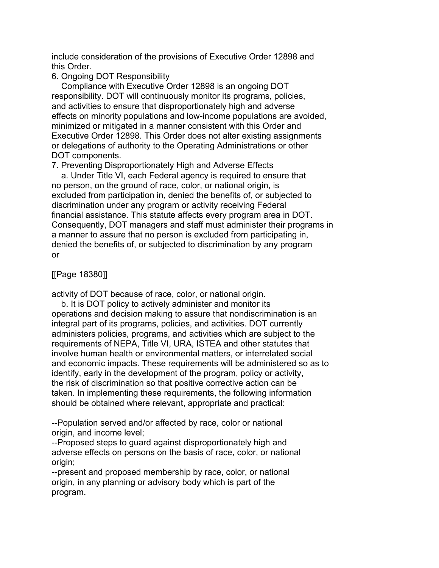include consideration of the provisions of Executive Order 12898 and this Order.

## 6. Ongoing DOT Responsibility

 Compliance with Executive Order 12898 is an ongoing DOT responsibility. DOT will continuously monitor its programs, policies, and activities to ensure that disproportionately high and adverse effects on minority populations and low-income populations are avoided, minimized or mitigated in a manner consistent with this Order and Executive Order 12898. This Order does not alter existing assignments or delegations of authority to the Operating Administrations or other DOT components.

7. Preventing Disproportionately High and Adverse Effects

 a. Under Title VI, each Federal agency is required to ensure that no person, on the ground of race, color, or national origin, is excluded from participation in, denied the benefits of, or subjected to discrimination under any program or activity receiving Federal financial assistance. This statute affects every program area in DOT. Consequently, DOT managers and staff must administer their programs in a manner to assure that no person is excluded from participating in, denied the benefits of, or subjected to discrimination by any program or

[[Page 18380]]

activity of DOT because of race, color, or national origin.

 b. It is DOT policy to actively administer and monitor its operations and decision making to assure that nondiscrimination is an integral part of its programs, policies, and activities. DOT currently administers policies, programs, and activities which are subject to the requirements of NEPA, Title VI, URA, ISTEA and other statutes that involve human health or environmental matters, or interrelated social and economic impacts. These requirements will be administered so as to identify, early in the development of the program, policy or activity, the risk of discrimination so that positive corrective action can be taken. In implementing these requirements, the following information should be obtained where relevant, appropriate and practical:

--Population served and/or affected by race, color or national origin, and income level;

--Proposed steps to guard against disproportionately high and adverse effects on persons on the basis of race, color, or national origin:

--present and proposed membership by race, color, or national origin, in any planning or advisory body which is part of the program.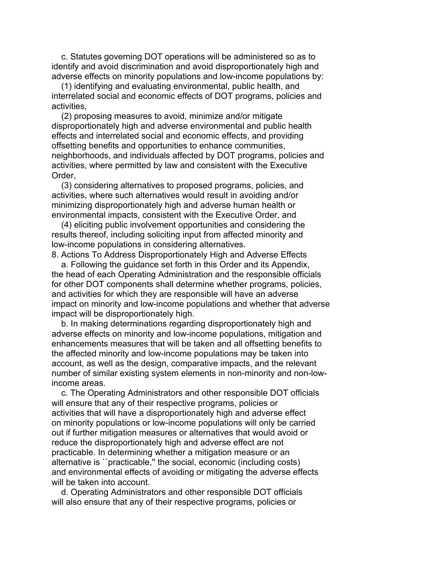c. Statutes governing DOT operations will be administered so as to identify and avoid discrimination and avoid disproportionately high and adverse effects on minority populations and low-income populations by:

 (1) identifying and evaluating environmental, public health, and interrelated social and economic effects of DOT programs, policies and activities,

 (2) proposing measures to avoid, minimize and/or mitigate disproportionately high and adverse environmental and public health effects and interrelated social and economic effects, and providing offsetting benefits and opportunities to enhance communities, neighborhoods, and individuals affected by DOT programs, policies and activities, where permitted by law and consistent with the Executive Order,

 (3) considering alternatives to proposed programs, policies, and activities, where such alternatives would result in avoiding and/or minimizing disproportionately high and adverse human health or environmental impacts, consistent with the Executive Order, and

 (4) eliciting public involvement opportunities and considering the results thereof, including soliciting input from affected minority and low-income populations in considering alternatives.

8. Actions To Address Disproportionately High and Adverse Effects

 a. Following the guidance set forth in this Order and its Appendix, the head of each Operating Administration and the responsible officials for other DOT components shall determine whether programs, policies, and activities for which they are responsible will have an adverse impact on minority and low-income populations and whether that adverse impact will be disproportionately high.

 b. In making determinations regarding disproportionately high and adverse effects on minority and low-income populations, mitigation and enhancements measures that will be taken and all offsetting benefits to the affected minority and low-income populations may be taken into account, as well as the design, comparative impacts, and the relevant number of similar existing system elements in non-minority and non-lowincome areas.

 c. The Operating Administrators and other responsible DOT officials will ensure that any of their respective programs, policies or activities that will have a disproportionately high and adverse effect on minority populations or low-income populations will only be carried out if further mitigation measures or alternatives that would avoid or reduce the disproportionately high and adverse effect are not practicable. In determining whether a mitigation measure or an alternative is ``practicable,'' the social, economic (including costs) and environmental effects of avoiding or mitigating the adverse effects will be taken into account.

 d. Operating Administrators and other responsible DOT officials will also ensure that any of their respective programs, policies or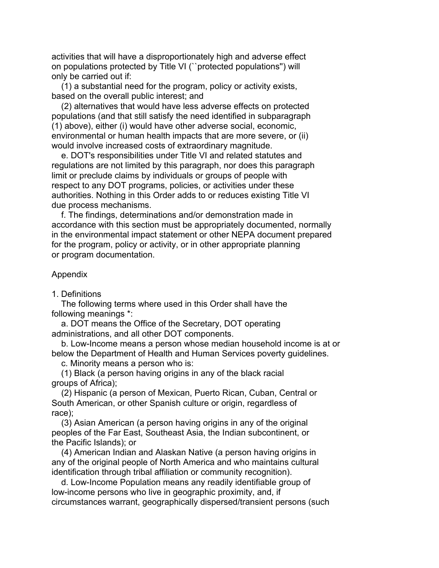activities that will have a disproportionately high and adverse effect on populations protected by Title VI (``protected populations'') will only be carried out if:

 (1) a substantial need for the program, policy or activity exists, based on the overall public interest; and

 (2) alternatives that would have less adverse effects on protected populations (and that still satisfy the need identified in subparagraph (1) above), either (i) would have other adverse social, economic, environmental or human health impacts that are more severe, or (ii) would involve increased costs of extraordinary magnitude.

 e. DOT's responsibilities under Title VI and related statutes and regulations are not limited by this paragraph, nor does this paragraph limit or preclude claims by individuals or groups of people with respect to any DOT programs, policies, or activities under these authorities. Nothing in this Order adds to or reduces existing Title VI due process mechanisms.

 f. The findings, determinations and/or demonstration made in accordance with this section must be appropriately documented, normally in the environmental impact statement or other NEPA document prepared for the program, policy or activity, or in other appropriate planning or program documentation.

### Appendix

1. Definitions

 The following terms where used in this Order shall have the following meanings \*:

 a. DOT means the Office of the Secretary, DOT operating administrations, and all other DOT components.

 b. Low-Income means a person whose median household income is at or below the Department of Health and Human Services poverty guidelines. c. Minority means a person who is:

 (1) Black (a person having origins in any of the black racial groups of Africa);

 (2) Hispanic (a person of Mexican, Puerto Rican, Cuban, Central or South American, or other Spanish culture or origin, regardless of race);

 (3) Asian American (a person having origins in any of the original peoples of the Far East, Southeast Asia, the Indian subcontinent, or the Pacific Islands); or

 (4) American Indian and Alaskan Native (a person having origins in any of the original people of North America and who maintains cultural identification through tribal affiliation or community recognition).

 d. Low-Income Population means any readily identifiable group of low-income persons who live in geographic proximity, and, if circumstances warrant, geographically dispersed/transient persons (such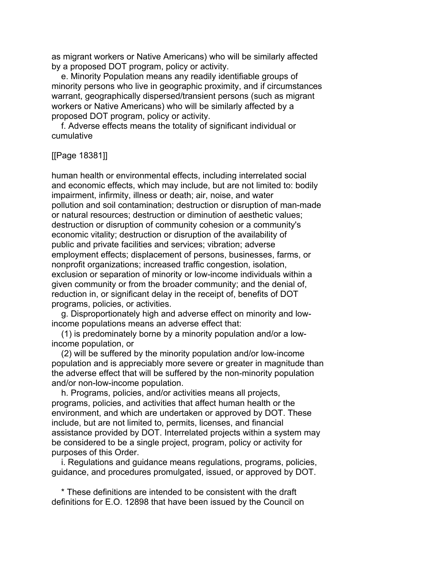as migrant workers or Native Americans) who will be similarly affected by a proposed DOT program, policy or activity.

 e. Minority Population means any readily identifiable groups of minority persons who live in geographic proximity, and if circumstances warrant, geographically dispersed/transient persons (such as migrant workers or Native Americans) who will be similarly affected by a proposed DOT program, policy or activity.

 f. Adverse effects means the totality of significant individual or cumulative

[[Page 18381]]

human health or environmental effects, including interrelated social and economic effects, which may include, but are not limited to: bodily impairment, infirmity, illness or death; air, noise, and water pollution and soil contamination; destruction or disruption of man-made or natural resources; destruction or diminution of aesthetic values; destruction or disruption of community cohesion or a community's economic vitality; destruction or disruption of the availability of public and private facilities and services; vibration; adverse employment effects; displacement of persons, businesses, farms, or nonprofit organizations; increased traffic congestion, isolation, exclusion or separation of minority or low-income individuals within a given community or from the broader community; and the denial of, reduction in, or significant delay in the receipt of, benefits of DOT programs, policies, or activities.

 g. Disproportionately high and adverse effect on minority and lowincome populations means an adverse effect that:

 (1) is predominately borne by a minority population and/or a lowincome population, or

 (2) will be suffered by the minority population and/or low-income population and is appreciably more severe or greater in magnitude than the adverse effect that will be suffered by the non-minority population and/or non-low-income population.

 h. Programs, policies, and/or activities means all projects, programs, policies, and activities that affect human health or the environment, and which are undertaken or approved by DOT. These include, but are not limited to, permits, licenses, and financial assistance provided by DOT. Interrelated projects within a system may be considered to be a single project, program, policy or activity for purposes of this Order.

 i. Regulations and guidance means regulations, programs, policies, guidance, and procedures promulgated, issued, or approved by DOT.

 \* These definitions are intended to be consistent with the draft definitions for E.O. 12898 that have been issued by the Council on